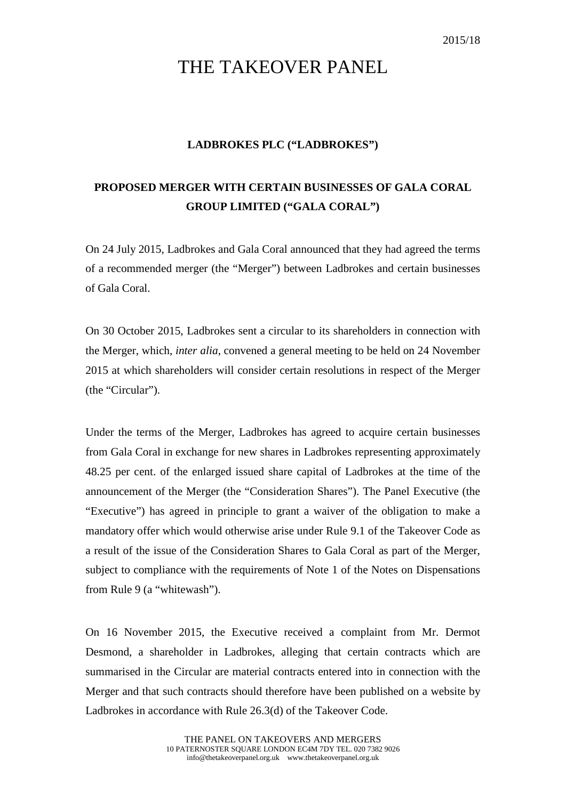## THE TAKEOVER PANEL

## **LADBROKES PLC ("LADBROKES")**

## **PROPOSED MERGER WITH CERTAIN BUSINESSES OF GALA CORAL GROUP LIMITED ("GALA CORAL")**

On 24 July 2015, Ladbrokes and Gala Coral announced that they had agreed the terms of a recommended merger (the "Merger") between Ladbrokes and certain businesses of Gala Coral.

On 30 October 2015, Ladbrokes sent a circular to its shareholders in connection with the Merger, which, *inter alia*, convened a general meeting to be held on 24 November 2015 at which shareholders will consider certain resolutions in respect of the Merger (the "Circular").

Under the terms of the Merger, Ladbrokes has agreed to acquire certain businesses from Gala Coral in exchange for new shares in Ladbrokes representing approximately 48.25 per cent. of the enlarged issued share capital of Ladbrokes at the time of the announcement of the Merger (the "Consideration Shares"). The Panel Executive (the "Executive") has agreed in principle to grant a waiver of the obligation to make a mandatory offer which would otherwise arise under Rule 9.1 of the Takeover Code as a result of the issue of the Consideration Shares to Gala Coral as part of the Merger, subject to compliance with the requirements of Note 1 of the Notes on Dispensations from Rule 9 (a "whitewash").

On 16 November 2015, the Executive received a complaint from Mr. Dermot Desmond, a shareholder in Ladbrokes, alleging that certain contracts which are summarised in the Circular are material contracts entered into in connection with the Merger and that such contracts should therefore have been published on a website by Ladbrokes in accordance with Rule 26.3(d) of the Takeover Code.